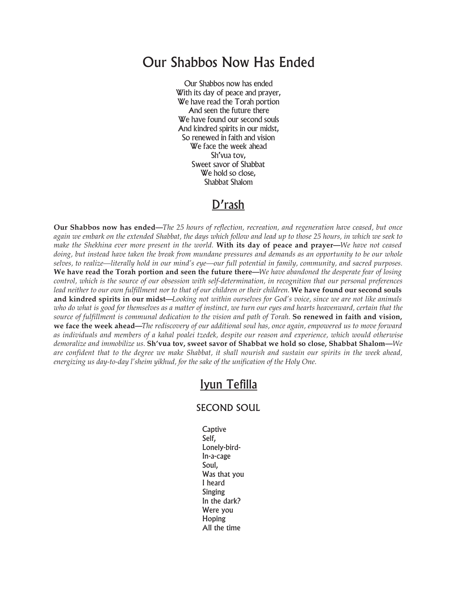## Our Shabbos Now Has Ended

Our Shabbos now has ended With its day of peace and prayer, We have read the Torah portion And seen the future there We have found our second souls And kindred spirits in our midst, So renewed in faith and vision We face the week ahead Sh'vua tov, Sweet savor of Shabbat We hold so close, Shabbat Shalom

## D'rash

**Our Shabbos now has ended—***The 25 hours of reflection, recreation, and regeneration have ceased, but once* again we embark on the extended Shabbat, the days which follow and lead up to those 25 hours, in which we seek to make the Shekhina ever more present in the world. With its day of peace and prayer—We have not ceased doing, but instead have taken the break from mundane pressures and demands as an opportunity to be our whole selves, to realize—literally hold in our mind's eye—our full potential in family, community, and sacred purposes. We have read the Torah portion and seen the future there—We have abandoned the desperate fear of losing control, which is the source of our obsession with self-determination, in recognition that our personal preferences *lead neither to our own fulfillment nor to that of our children or their children.* **We have found our second souls** and kindred spirits in our midst—Looking not within ourselves for God's voice, since we are not like animals who do what is good for themselves as a matter of instinct, we turn our eyes and hearts heavenward, certain that the source of fulfillment is communal dedication to the vision and path of Torah. So renewed in faith and vision, we face the week ahead—The rediscovery of our additional soul has, once again, empowered us to move forward as individuals and members of a kahal poalei tzedek, despite our reason and experience, which would otherwise *demoralize and immobilize us.* **Sh'vua tov, sweet savor of Shabbat we hold so close, Shabbat Shalom—***We* are confident that to the degree we make Shabbat, it shall nourish and sustain our spirits in the week ahead, *energizing us day-to-day l'sheim yikhud, for the sake of the unification of the Holy One.*

## Iyun Tefilla

## SECOND SOUL

**Captive** Self, Lonely-bird-In-a-cage Soul, Was that you I heard Singing In the dark? Were you Hoping All the time